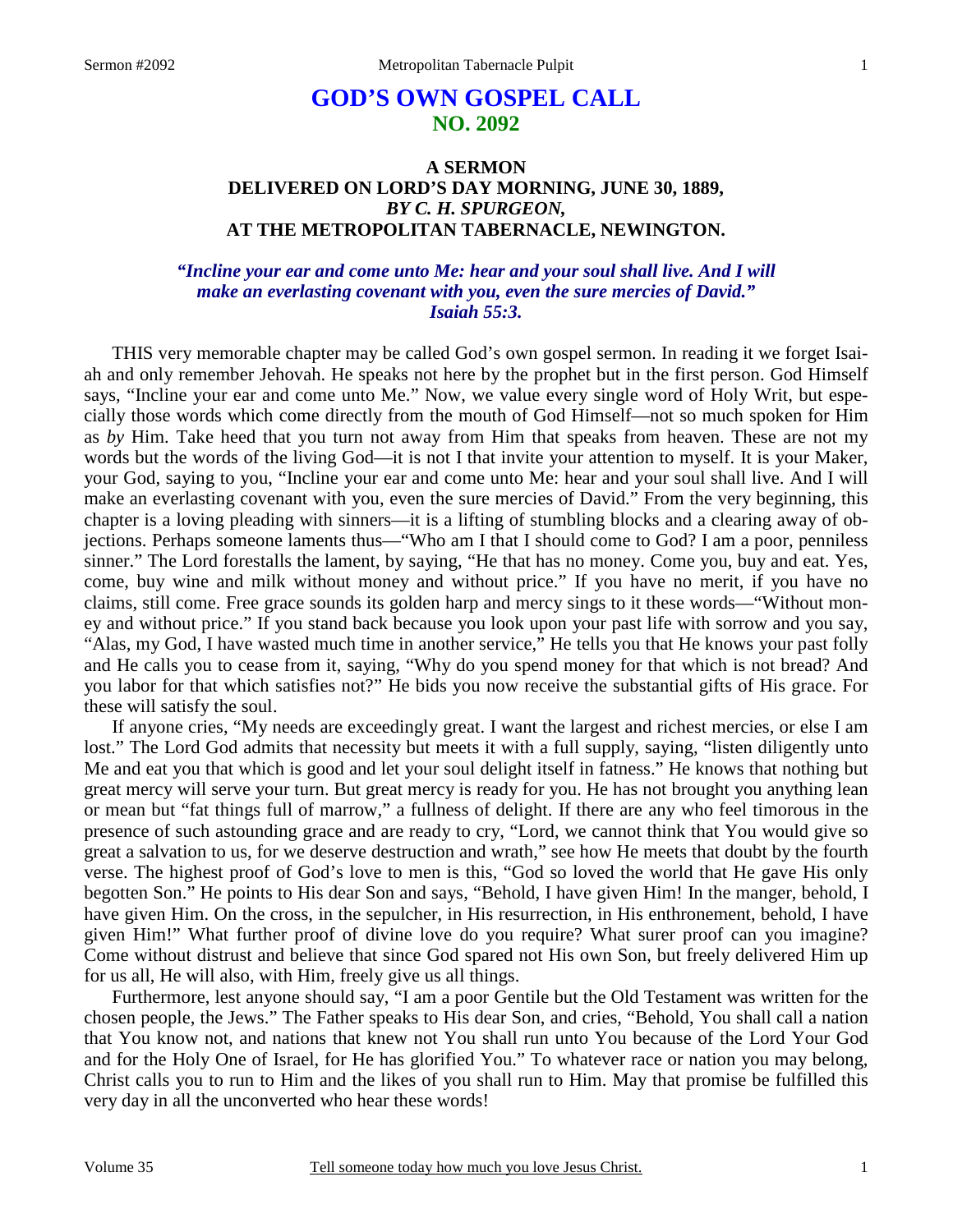# **GOD'S OWN GOSPEL CALL NO. 2092**

# **A SERMON DELIVERED ON LORD'S DAY MORNING, JUNE 30, 1889,**  *BY C. H. SPURGEON,*  **AT THE METROPOLITAN TABERNACLE, NEWINGTON.**

# *"Incline your ear and come unto Me: hear and your soul shall live. And I will make an everlasting covenant with you, even the sure mercies of David." Isaiah 55:3.*

THIS very memorable chapter may be called God's own gospel sermon. In reading it we forget Isaiah and only remember Jehovah. He speaks not here by the prophet but in the first person. God Himself says, "Incline your ear and come unto Me." Now, we value every single word of Holy Writ, but especially those words which come directly from the mouth of God Himself—not so much spoken for Him as *by* Him. Take heed that you turn not away from Him that speaks from heaven. These are not my words but the words of the living God—it is not I that invite your attention to myself. It is your Maker, your God, saying to you, "Incline your ear and come unto Me: hear and your soul shall live. And I will make an everlasting covenant with you, even the sure mercies of David." From the very beginning, this chapter is a loving pleading with sinners—it is a lifting of stumbling blocks and a clearing away of objections. Perhaps someone laments thus—"Who am I that I should come to God? I am a poor, penniless sinner." The Lord forestalls the lament, by saying, "He that has no money. Come you, buy and eat. Yes, come, buy wine and milk without money and without price." If you have no merit, if you have no claims, still come. Free grace sounds its golden harp and mercy sings to it these words—"Without money and without price." If you stand back because you look upon your past life with sorrow and you say, "Alas, my God, I have wasted much time in another service," He tells you that He knows your past folly and He calls you to cease from it, saying, "Why do you spend money for that which is not bread? And you labor for that which satisfies not?" He bids you now receive the substantial gifts of His grace. For these will satisfy the soul.

If anyone cries, "My needs are exceedingly great. I want the largest and richest mercies, or else I am lost." The Lord God admits that necessity but meets it with a full supply, saying, "listen diligently unto Me and eat you that which is good and let your soul delight itself in fatness." He knows that nothing but great mercy will serve your turn. But great mercy is ready for you. He has not brought you anything lean or mean but "fat things full of marrow," a fullness of delight. If there are any who feel timorous in the presence of such astounding grace and are ready to cry, "Lord, we cannot think that You would give so great a salvation to us, for we deserve destruction and wrath," see how He meets that doubt by the fourth verse. The highest proof of God's love to men is this, "God so loved the world that He gave His only begotten Son." He points to His dear Son and says, "Behold, I have given Him! In the manger, behold, I have given Him. On the cross, in the sepulcher, in His resurrection, in His enthronement, behold, I have given Him!" What further proof of divine love do you require? What surer proof can you imagine? Come without distrust and believe that since God spared not His own Son, but freely delivered Him up for us all, He will also, with Him, freely give us all things.

Furthermore, lest anyone should say, "I am a poor Gentile but the Old Testament was written for the chosen people, the Jews." The Father speaks to His dear Son, and cries, "Behold, You shall call a nation that You know not, and nations that knew not You shall run unto You because of the Lord Your God and for the Holy One of Israel, for He has glorified You." To whatever race or nation you may belong, Christ calls you to run to Him and the likes of you shall run to Him. May that promise be fulfilled this very day in all the unconverted who hear these words!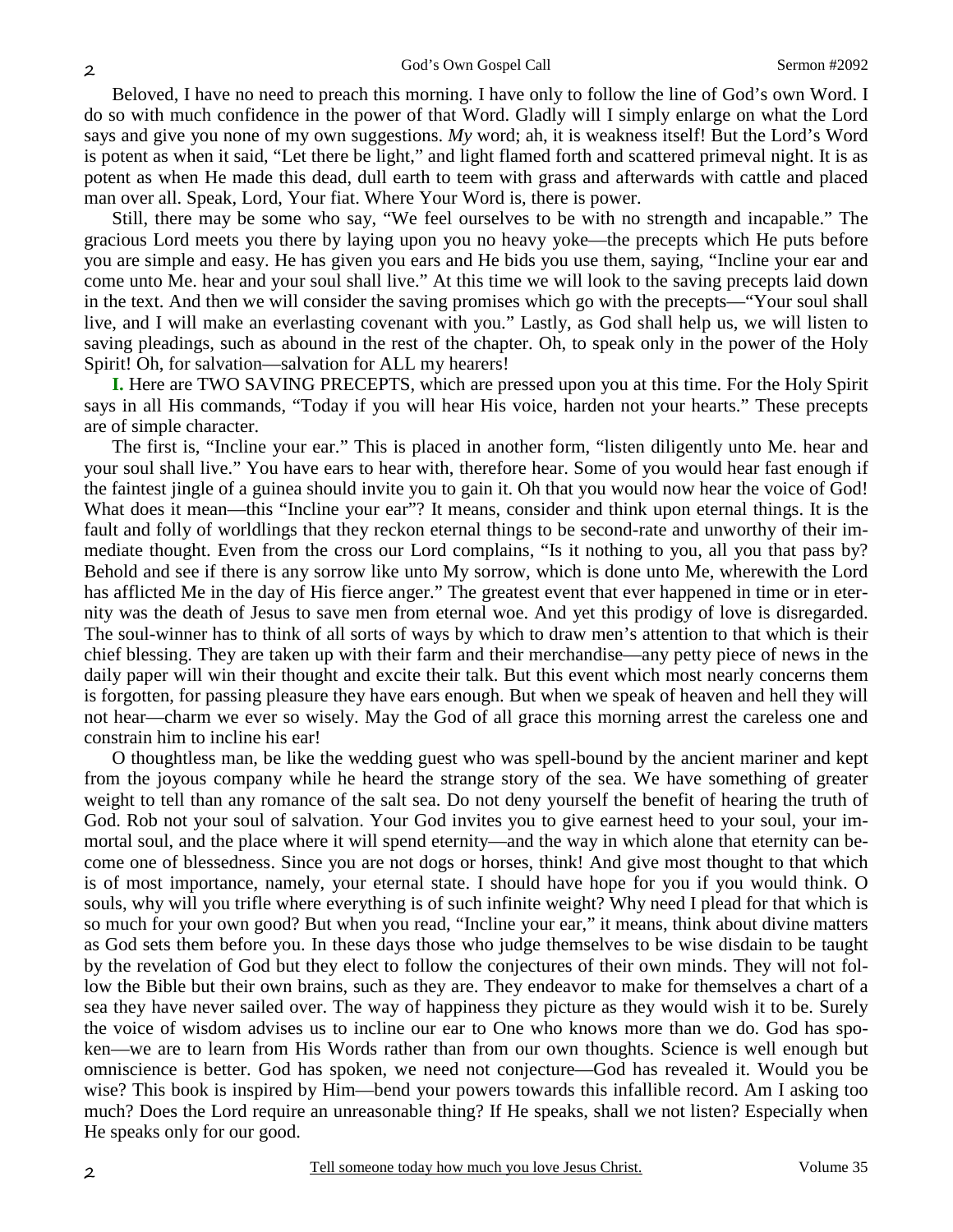Beloved, I have no need to preach this morning. I have only to follow the line of God's own Word. I do so with much confidence in the power of that Word. Gladly will I simply enlarge on what the Lord says and give you none of my own suggestions. *My* word; ah, it is weakness itself! But the Lord's Word is potent as when it said, "Let there be light," and light flamed forth and scattered primeval night. It is as potent as when He made this dead, dull earth to teem with grass and afterwards with cattle and placed man over all. Speak, Lord, Your fiat. Where Your Word is, there is power.

Still, there may be some who say, "We feel ourselves to be with no strength and incapable." The gracious Lord meets you there by laying upon you no heavy yoke—the precepts which He puts before you are simple and easy. He has given you ears and He bids you use them, saying, "Incline your ear and come unto Me. hear and your soul shall live." At this time we will look to the saving precepts laid down in the text. And then we will consider the saving promises which go with the precepts—"Your soul shall live, and I will make an everlasting covenant with you." Lastly, as God shall help us, we will listen to saving pleadings, such as abound in the rest of the chapter. Oh, to speak only in the power of the Holy Spirit! Oh, for salvation—salvation for ALL my hearers!

**I.** Here are TWO SAVING PRECEPTS, which are pressed upon you at this time. For the Holy Spirit says in all His commands, "Today if you will hear His voice, harden not your hearts." These precepts are of simple character.

The first is, "Incline your ear." This is placed in another form, "listen diligently unto Me. hear and your soul shall live." You have ears to hear with, therefore hear. Some of you would hear fast enough if the faintest jingle of a guinea should invite you to gain it. Oh that you would now hear the voice of God! What does it mean—this "Incline your ear"? It means, consider and think upon eternal things. It is the fault and folly of worldlings that they reckon eternal things to be second-rate and unworthy of their immediate thought. Even from the cross our Lord complains, "Is it nothing to you, all you that pass by? Behold and see if there is any sorrow like unto My sorrow, which is done unto Me, wherewith the Lord has afflicted Me in the day of His fierce anger." The greatest event that ever happened in time or in eternity was the death of Jesus to save men from eternal woe. And yet this prodigy of love is disregarded. The soul-winner has to think of all sorts of ways by which to draw men's attention to that which is their chief blessing. They are taken up with their farm and their merchandise—any petty piece of news in the daily paper will win their thought and excite their talk. But this event which most nearly concerns them is forgotten, for passing pleasure they have ears enough. But when we speak of heaven and hell they will not hear—charm we ever so wisely. May the God of all grace this morning arrest the careless one and constrain him to incline his ear!

O thoughtless man, be like the wedding guest who was spell-bound by the ancient mariner and kept from the joyous company while he heard the strange story of the sea. We have something of greater weight to tell than any romance of the salt sea. Do not deny yourself the benefit of hearing the truth of God. Rob not your soul of salvation. Your God invites you to give earnest heed to your soul, your immortal soul, and the place where it will spend eternity—and the way in which alone that eternity can become one of blessedness. Since you are not dogs or horses, think! And give most thought to that which is of most importance, namely, your eternal state. I should have hope for you if you would think. O souls, why will you trifle where everything is of such infinite weight? Why need I plead for that which is so much for your own good? But when you read, "Incline your ear," it means, think about divine matters as God sets them before you. In these days those who judge themselves to be wise disdain to be taught by the revelation of God but they elect to follow the conjectures of their own minds. They will not follow the Bible but their own brains, such as they are. They endeavor to make for themselves a chart of a sea they have never sailed over. The way of happiness they picture as they would wish it to be. Surely the voice of wisdom advises us to incline our ear to One who knows more than we do. God has spoken—we are to learn from His Words rather than from our own thoughts. Science is well enough but omniscience is better. God has spoken, we need not conjecture—God has revealed it. Would you be wise? This book is inspired by Him—bend your powers towards this infallible record. Am I asking too much? Does the Lord require an unreasonable thing? If He speaks, shall we not listen? Especially when He speaks only for our good.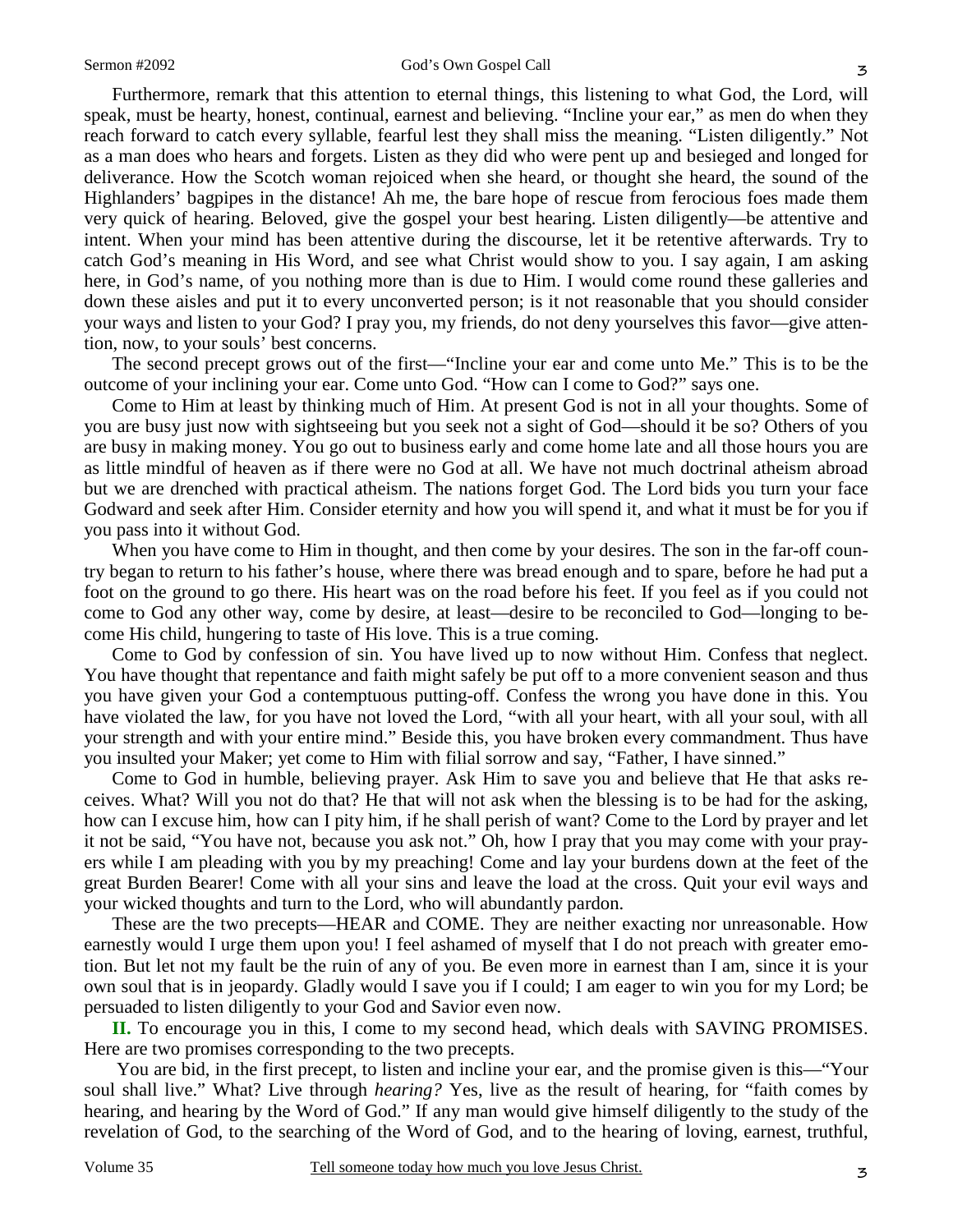Furthermore, remark that this attention to eternal things, this listening to what God, the Lord, will speak, must be hearty, honest, continual, earnest and believing. "Incline your ear," as men do when they reach forward to catch every syllable, fearful lest they shall miss the meaning. "Listen diligently." Not as a man does who hears and forgets. Listen as they did who were pent up and besieged and longed for deliverance. How the Scotch woman rejoiced when she heard, or thought she heard, the sound of the Highlanders' bagpipes in the distance! Ah me, the bare hope of rescue from ferocious foes made them very quick of hearing. Beloved, give the gospel your best hearing. Listen diligently—be attentive and intent. When your mind has been attentive during the discourse, let it be retentive afterwards. Try to catch God's meaning in His Word, and see what Christ would show to you. I say again, I am asking here, in God's name, of you nothing more than is due to Him. I would come round these galleries and down these aisles and put it to every unconverted person; is it not reasonable that you should consider your ways and listen to your God? I pray you, my friends, do not deny yourselves this favor—give attention, now, to your souls' best concerns.

The second precept grows out of the first—"Incline your ear and come unto Me." This is to be the outcome of your inclining your ear. Come unto God. "How can I come to God?" says one.

Come to Him at least by thinking much of Him. At present God is not in all your thoughts. Some of you are busy just now with sightseeing but you seek not a sight of God—should it be so? Others of you are busy in making money. You go out to business early and come home late and all those hours you are as little mindful of heaven as if there were no God at all. We have not much doctrinal atheism abroad but we are drenched with practical atheism. The nations forget God. The Lord bids you turn your face Godward and seek after Him. Consider eternity and how you will spend it, and what it must be for you if you pass into it without God.

When you have come to Him in thought, and then come by your desires. The son in the far-off country began to return to his father's house, where there was bread enough and to spare, before he had put a foot on the ground to go there. His heart was on the road before his feet. If you feel as if you could not come to God any other way, come by desire, at least—desire to be reconciled to God—longing to become His child, hungering to taste of His love. This is a true coming.

Come to God by confession of sin. You have lived up to now without Him. Confess that neglect. You have thought that repentance and faith might safely be put off to a more convenient season and thus you have given your God a contemptuous putting-off. Confess the wrong you have done in this. You have violated the law, for you have not loved the Lord, "with all your heart, with all your soul, with all your strength and with your entire mind." Beside this, you have broken every commandment. Thus have you insulted your Maker; yet come to Him with filial sorrow and say, "Father, I have sinned."

Come to God in humble, believing prayer. Ask Him to save you and believe that He that asks receives. What? Will you not do that? He that will not ask when the blessing is to be had for the asking, how can I excuse him, how can I pity him, if he shall perish of want? Come to the Lord by prayer and let it not be said, "You have not, because you ask not." Oh, how I pray that you may come with your prayers while I am pleading with you by my preaching! Come and lay your burdens down at the feet of the great Burden Bearer! Come with all your sins and leave the load at the cross. Quit your evil ways and your wicked thoughts and turn to the Lord, who will abundantly pardon.

These are the two precepts—HEAR and COME. They are neither exacting nor unreasonable. How earnestly would I urge them upon you! I feel ashamed of myself that I do not preach with greater emotion. But let not my fault be the ruin of any of you. Be even more in earnest than I am, since it is your own soul that is in jeopardy. Gladly would I save you if I could; I am eager to win you for my Lord; be persuaded to listen diligently to your God and Savior even now.

**II.** To encourage you in this, I come to my second head, which deals with SAVING PROMISES. Here are two promises corresponding to the two precepts.

 You are bid, in the first precept, to listen and incline your ear, and the promise given is this—"Your soul shall live." What? Live through *hearing?* Yes, live as the result of hearing, for "faith comes by hearing, and hearing by the Word of God." If any man would give himself diligently to the study of the revelation of God, to the searching of the Word of God, and to the hearing of loving, earnest, truthful,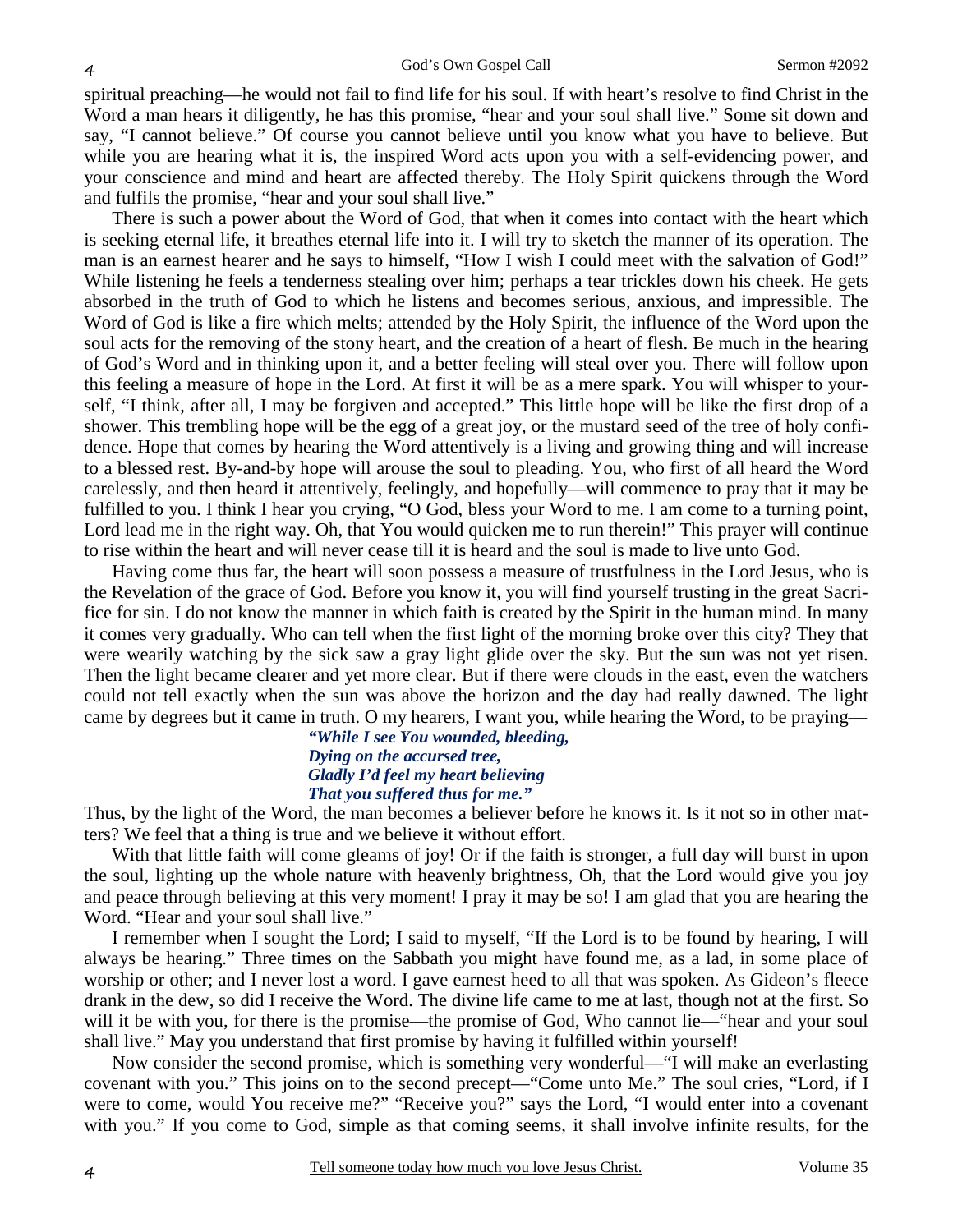spiritual preaching—he would not fail to find life for his soul. If with heart's resolve to find Christ in the Word a man hears it diligently, he has this promise, "hear and your soul shall live." Some sit down and say, "I cannot believe." Of course you cannot believe until you know what you have to believe. But while you are hearing what it is, the inspired Word acts upon you with a self-evidencing power, and your conscience and mind and heart are affected thereby. The Holy Spirit quickens through the Word and fulfils the promise, "hear and your soul shall live."

There is such a power about the Word of God, that when it comes into contact with the heart which is seeking eternal life, it breathes eternal life into it. I will try to sketch the manner of its operation. The man is an earnest hearer and he says to himself, "How I wish I could meet with the salvation of God!" While listening he feels a tenderness stealing over him; perhaps a tear trickles down his cheek. He gets absorbed in the truth of God to which he listens and becomes serious, anxious, and impressible. The Word of God is like a fire which melts; attended by the Holy Spirit, the influence of the Word upon the soul acts for the removing of the stony heart, and the creation of a heart of flesh. Be much in the hearing of God's Word and in thinking upon it, and a better feeling will steal over you. There will follow upon this feeling a measure of hope in the Lord. At first it will be as a mere spark. You will whisper to yourself, "I think, after all, I may be forgiven and accepted." This little hope will be like the first drop of a shower. This trembling hope will be the egg of a great joy, or the mustard seed of the tree of holy confidence. Hope that comes by hearing the Word attentively is a living and growing thing and will increase to a blessed rest. By-and-by hope will arouse the soul to pleading. You, who first of all heard the Word carelessly, and then heard it attentively, feelingly, and hopefully—will commence to pray that it may be fulfilled to you. I think I hear you crying, "O God, bless your Word to me. I am come to a turning point, Lord lead me in the right way. Oh, that You would quicken me to run therein!" This prayer will continue to rise within the heart and will never cease till it is heard and the soul is made to live unto God.

Having come thus far, the heart will soon possess a measure of trustfulness in the Lord Jesus, who is the Revelation of the grace of God. Before you know it, you will find yourself trusting in the great Sacrifice for sin. I do not know the manner in which faith is created by the Spirit in the human mind. In many it comes very gradually. Who can tell when the first light of the morning broke over this city? They that were wearily watching by the sick saw a gray light glide over the sky. But the sun was not yet risen. Then the light became clearer and yet more clear. But if there were clouds in the east, even the watchers could not tell exactly when the sun was above the horizon and the day had really dawned. The light came by degrees but it came in truth. O my hearers, I want you, while hearing the Word, to be praying— *"While I see You wounded, bleeding,* 

# *Dying on the accursed tree, Gladly I'd feel my heart believing That you suffered thus for me."*

Thus, by the light of the Word, the man becomes a believer before he knows it. Is it not so in other matters? We feel that a thing is true and we believe it without effort.

With that little faith will come gleams of joy! Or if the faith is stronger, a full day will burst in upon the soul, lighting up the whole nature with heavenly brightness, Oh, that the Lord would give you joy and peace through believing at this very moment! I pray it may be so! I am glad that you are hearing the Word. "Hear and your soul shall live."

I remember when I sought the Lord; I said to myself, "If the Lord is to be found by hearing, I will always be hearing." Three times on the Sabbath you might have found me, as a lad, in some place of worship or other; and I never lost a word. I gave earnest heed to all that was spoken. As Gideon's fleece drank in the dew, so did I receive the Word. The divine life came to me at last, though not at the first. So will it be with you, for there is the promise—the promise of God, Who cannot lie—"hear and your soul shall live." May you understand that first promise by having it fulfilled within yourself!

Now consider the second promise, which is something very wonderful—"I will make an everlasting covenant with you." This joins on to the second precept—"Come unto Me." The soul cries, "Lord, if I were to come, would You receive me?" "Receive you?" says the Lord, "I would enter into a covenant with you." If you come to God, simple as that coming seems, it shall involve infinite results, for the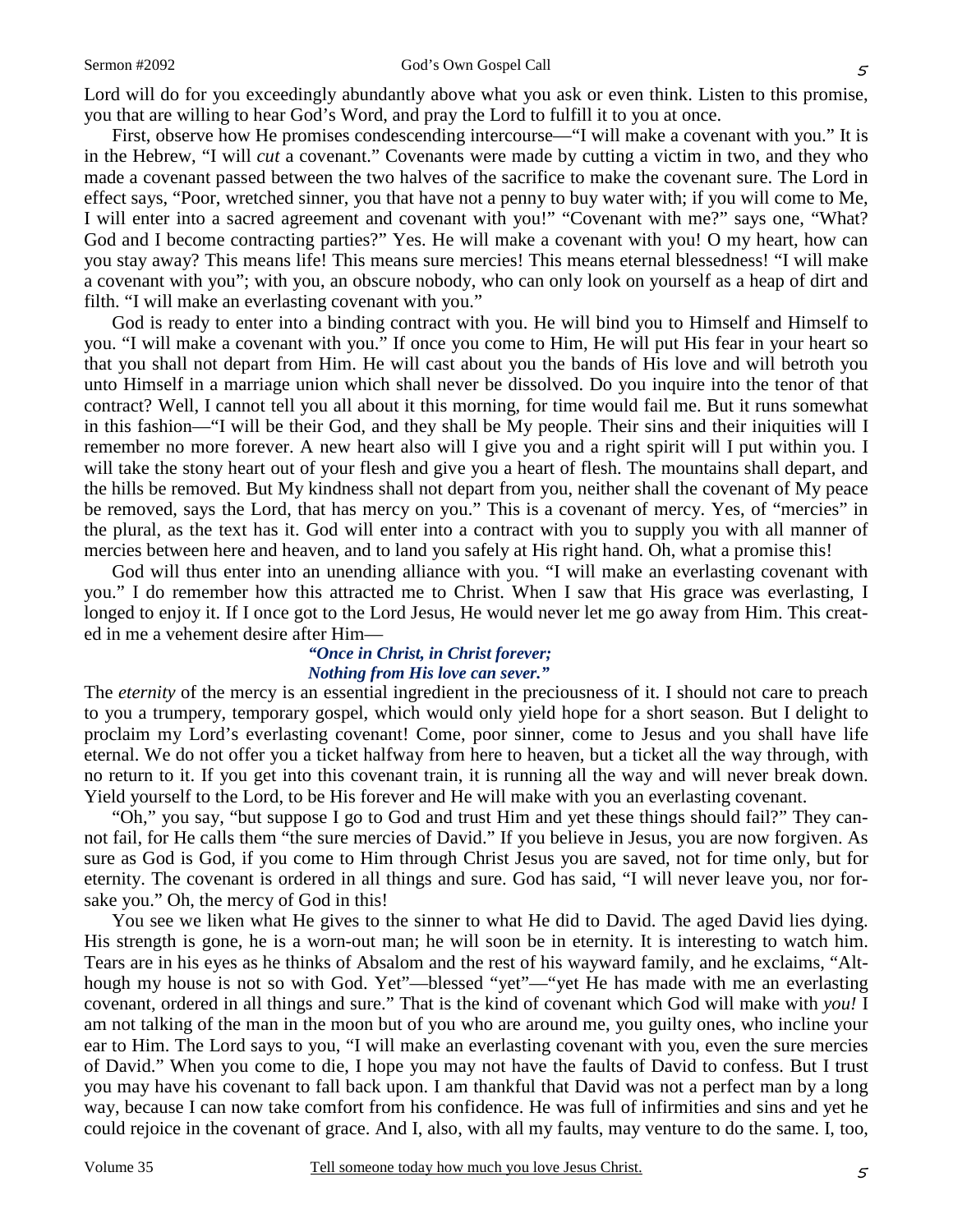Lord will do for you exceedingly abundantly above what you ask or even think. Listen to this promise, you that are willing to hear God's Word, and pray the Lord to fulfill it to you at once.

First, observe how He promises condescending intercourse—"I will make a covenant with you." It is in the Hebrew, "I will *cut* a covenant." Covenants were made by cutting a victim in two, and they who made a covenant passed between the two halves of the sacrifice to make the covenant sure. The Lord in effect says, "Poor, wretched sinner, you that have not a penny to buy water with; if you will come to Me, I will enter into a sacred agreement and covenant with you!" "Covenant with me?" says one, "What? God and I become contracting parties?" Yes. He will make a covenant with you! O my heart, how can you stay away? This means life! This means sure mercies! This means eternal blessedness! "I will make a covenant with you"; with you, an obscure nobody, who can only look on yourself as a heap of dirt and filth. "I will make an everlasting covenant with you."

God is ready to enter into a binding contract with you. He will bind you to Himself and Himself to you. "I will make a covenant with you." If once you come to Him, He will put His fear in your heart so that you shall not depart from Him. He will cast about you the bands of His love and will betroth you unto Himself in a marriage union which shall never be dissolved. Do you inquire into the tenor of that contract? Well, I cannot tell you all about it this morning, for time would fail me. But it runs somewhat in this fashion—"I will be their God, and they shall be My people. Their sins and their iniquities will I remember no more forever. A new heart also will I give you and a right spirit will I put within you. I will take the stony heart out of your flesh and give you a heart of flesh. The mountains shall depart, and the hills be removed. But My kindness shall not depart from you, neither shall the covenant of My peace be removed, says the Lord, that has mercy on you." This is a covenant of mercy. Yes, of "mercies" in the plural, as the text has it. God will enter into a contract with you to supply you with all manner of mercies between here and heaven, and to land you safely at His right hand. Oh, what a promise this!

God will thus enter into an unending alliance with you. "I will make an everlasting covenant with you." I do remember how this attracted me to Christ. When I saw that His grace was everlasting, I longed to enjoy it. If I once got to the Lord Jesus, He would never let me go away from Him. This created in me a vehement desire after Him—

#### *"Once in Christ, in Christ forever; Nothing from His love can sever."*

The *eternity* of the mercy is an essential ingredient in the preciousness of it. I should not care to preach to you a trumpery, temporary gospel, which would only yield hope for a short season. But I delight to proclaim my Lord's everlasting covenant! Come, poor sinner, come to Jesus and you shall have life eternal. We do not offer you a ticket halfway from here to heaven, but a ticket all the way through, with no return to it. If you get into this covenant train, it is running all the way and will never break down. Yield yourself to the Lord, to be His forever and He will make with you an everlasting covenant.

"Oh," you say, "but suppose I go to God and trust Him and yet these things should fail?" They cannot fail, for He calls them "the sure mercies of David." If you believe in Jesus, you are now forgiven. As sure as God is God, if you come to Him through Christ Jesus you are saved, not for time only, but for eternity. The covenant is ordered in all things and sure. God has said, "I will never leave you, nor forsake you." Oh, the mercy of God in this!

You see we liken what He gives to the sinner to what He did to David. The aged David lies dying. His strength is gone, he is a worn-out man; he will soon be in eternity. It is interesting to watch him. Tears are in his eyes as he thinks of Absalom and the rest of his wayward family, and he exclaims, "Although my house is not so with God. Yet"—blessed "yet"—"yet He has made with me an everlasting covenant, ordered in all things and sure." That is the kind of covenant which God will make with *you!* I am not talking of the man in the moon but of you who are around me, you guilty ones, who incline your ear to Him. The Lord says to you, "I will make an everlasting covenant with you, even the sure mercies of David." When you come to die, I hope you may not have the faults of David to confess. But I trust you may have his covenant to fall back upon. I am thankful that David was not a perfect man by a long way, because I can now take comfort from his confidence. He was full of infirmities and sins and yet he could rejoice in the covenant of grace. And I, also, with all my faults, may venture to do the same. I, too,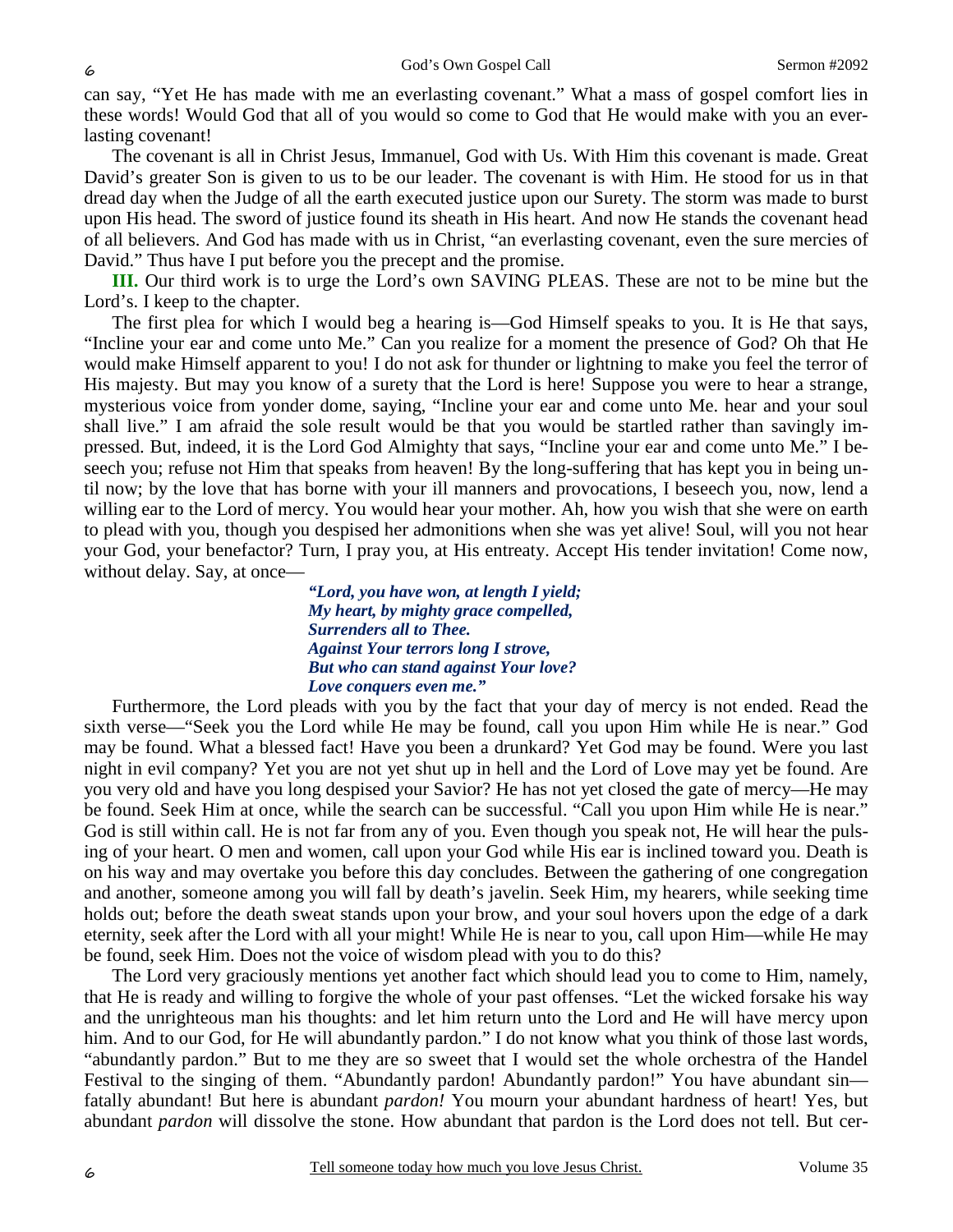can say, "Yet He has made with me an everlasting covenant." What a mass of gospel comfort lies in these words! Would God that all of you would so come to God that He would make with you an everlasting covenant!

The covenant is all in Christ Jesus, Immanuel, God with Us. With Him this covenant is made. Great David's greater Son is given to us to be our leader. The covenant is with Him. He stood for us in that dread day when the Judge of all the earth executed justice upon our Surety. The storm was made to burst upon His head. The sword of justice found its sheath in His heart. And now He stands the covenant head of all believers. And God has made with us in Christ, "an everlasting covenant, even the sure mercies of David." Thus have I put before you the precept and the promise.

**III.** Our third work is to urge the Lord's own SAVING PLEAS. These are not to be mine but the Lord's. I keep to the chapter.

The first plea for which I would beg a hearing is—God Himself speaks to you. It is He that says, "Incline your ear and come unto Me." Can you realize for a moment the presence of God? Oh that He would make Himself apparent to you! I do not ask for thunder or lightning to make you feel the terror of His majesty. But may you know of a surety that the Lord is here! Suppose you were to hear a strange, mysterious voice from yonder dome, saying, "Incline your ear and come unto Me. hear and your soul shall live." I am afraid the sole result would be that you would be startled rather than savingly impressed. But, indeed, it is the Lord God Almighty that says, "Incline your ear and come unto Me." I beseech you; refuse not Him that speaks from heaven! By the long-suffering that has kept you in being until now; by the love that has borne with your ill manners and provocations, I beseech you, now, lend a willing ear to the Lord of mercy. You would hear your mother. Ah, how you wish that she were on earth to plead with you, though you despised her admonitions when she was yet alive! Soul, will you not hear your God, your benefactor? Turn, I pray you, at His entreaty. Accept His tender invitation! Come now, without delay. Say, at once-

> *"Lord, you have won, at length I yield; My heart, by mighty grace compelled, Surrenders all to Thee. Against Your terrors long I strove, But who can stand against Your love? Love conquers even me."*

Furthermore, the Lord pleads with you by the fact that your day of mercy is not ended. Read the sixth verse—"Seek you the Lord while He may be found, call you upon Him while He is near." God may be found. What a blessed fact! Have you been a drunkard? Yet God may be found. Were you last night in evil company? Yet you are not yet shut up in hell and the Lord of Love may yet be found. Are you very old and have you long despised your Savior? He has not yet closed the gate of mercy—He may be found. Seek Him at once, while the search can be successful. "Call you upon Him while He is near." God is still within call. He is not far from any of you. Even though you speak not, He will hear the pulsing of your heart. O men and women, call upon your God while His ear is inclined toward you. Death is on his way and may overtake you before this day concludes. Between the gathering of one congregation and another, someone among you will fall by death's javelin. Seek Him, my hearers, while seeking time holds out; before the death sweat stands upon your brow, and your soul hovers upon the edge of a dark eternity, seek after the Lord with all your might! While He is near to you, call upon Him—while He may be found, seek Him. Does not the voice of wisdom plead with you to do this?

The Lord very graciously mentions yet another fact which should lead you to come to Him, namely, that He is ready and willing to forgive the whole of your past offenses. "Let the wicked forsake his way and the unrighteous man his thoughts: and let him return unto the Lord and He will have mercy upon him. And to our God, for He will abundantly pardon." I do not know what you think of those last words, "abundantly pardon." But to me they are so sweet that I would set the whole orchestra of the Handel Festival to the singing of them. "Abundantly pardon! Abundantly pardon!" You have abundant sin fatally abundant! But here is abundant *pardon!* You mourn your abundant hardness of heart! Yes, but abundant *pardon* will dissolve the stone. How abundant that pardon is the Lord does not tell. But cer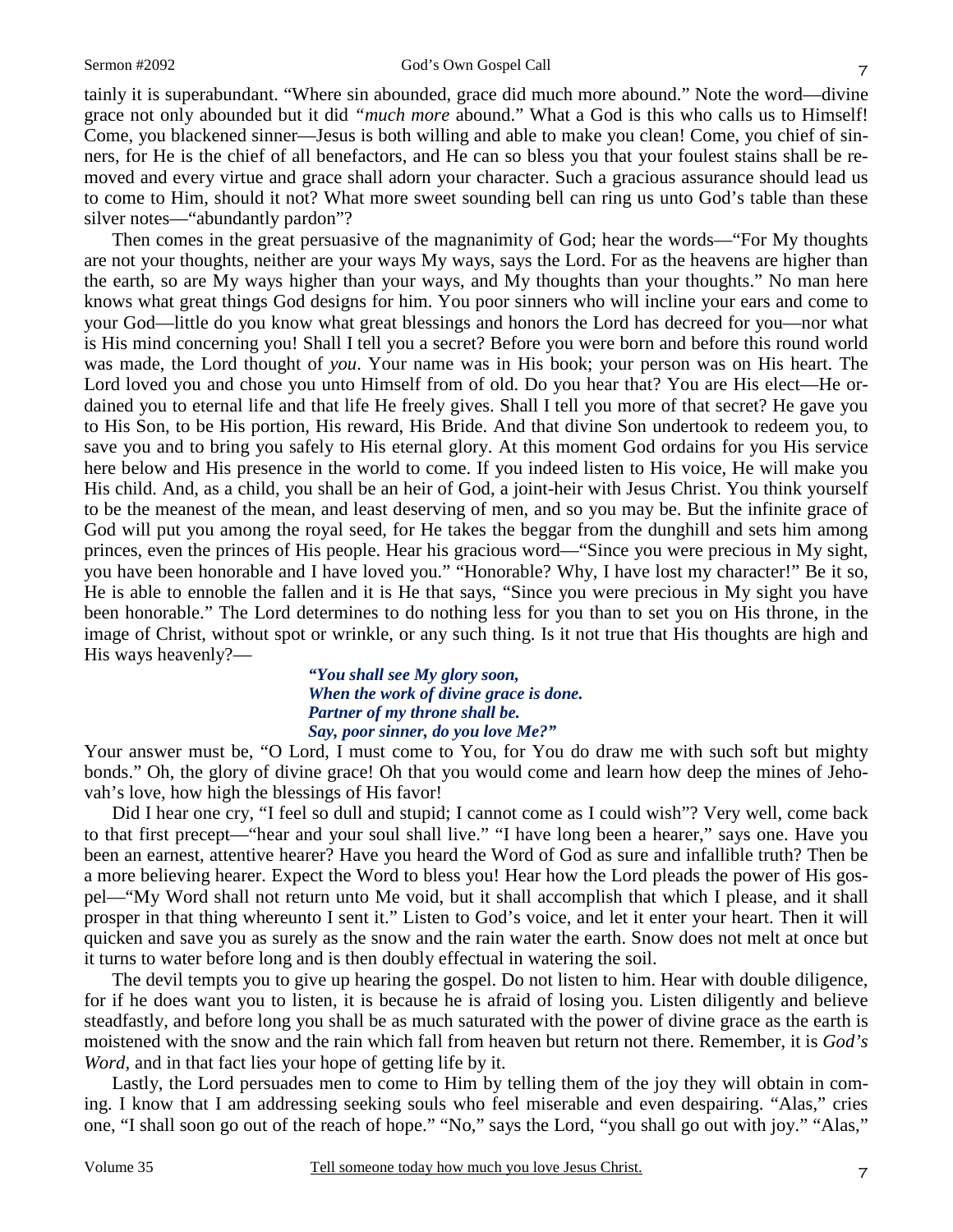tainly it is superabundant. "Where sin abounded, grace did much more abound." Note the word—divine grace not only abounded but it did *"much more* abound." What a God is this who calls us to Himself! Come, you blackened sinner—Jesus is both willing and able to make you clean! Come, you chief of sinners, for He is the chief of all benefactors, and He can so bless you that your foulest stains shall be removed and every virtue and grace shall adorn your character. Such a gracious assurance should lead us to come to Him, should it not? What more sweet sounding bell can ring us unto God's table than these silver notes—"abundantly pardon"?

Then comes in the great persuasive of the magnanimity of God; hear the words—"For My thoughts are not your thoughts, neither are your ways My ways, says the Lord. For as the heavens are higher than the earth, so are My ways higher than your ways, and My thoughts than your thoughts." No man here knows what great things God designs for him. You poor sinners who will incline your ears and come to your God—little do you know what great blessings and honors the Lord has decreed for you—nor what is His mind concerning you! Shall I tell you a secret? Before you were born and before this round world was made, the Lord thought of *you*. Your name was in His book; your person was on His heart. The Lord loved you and chose you unto Himself from of old. Do you hear that? You are His elect—He ordained you to eternal life and that life He freely gives. Shall I tell you more of that secret? He gave you to His Son, to be His portion, His reward, His Bride. And that divine Son undertook to redeem you, to save you and to bring you safely to His eternal glory. At this moment God ordains for you His service here below and His presence in the world to come. If you indeed listen to His voice, He will make you His child. And, as a child, you shall be an heir of God, a joint-heir with Jesus Christ. You think yourself to be the meanest of the mean, and least deserving of men, and so you may be. But the infinite grace of God will put you among the royal seed, for He takes the beggar from the dunghill and sets him among princes, even the princes of His people. Hear his gracious word—"Since you were precious in My sight, you have been honorable and I have loved you." "Honorable? Why, I have lost my character!" Be it so, He is able to ennoble the fallen and it is He that says, "Since you were precious in My sight you have been honorable." The Lord determines to do nothing less for you than to set you on His throne, in the image of Christ, without spot or wrinkle, or any such thing. Is it not true that His thoughts are high and His ways heavenly?—

### *"You shall see My glory soon, When the work of divine grace is done. Partner of my throne shall be. Say, poor sinner, do you love Me?"*

Your answer must be, "O Lord, I must come to You, for You do draw me with such soft but mighty bonds." Oh, the glory of divine grace! Oh that you would come and learn how deep the mines of Jehovah's love, how high the blessings of His favor!

Did I hear one cry, "I feel so dull and stupid; I cannot come as I could wish"? Very well, come back to that first precept—"hear and your soul shall live." "I have long been a hearer," says one. Have you been an earnest, attentive hearer? Have you heard the Word of God as sure and infallible truth? Then be a more believing hearer. Expect the Word to bless you! Hear how the Lord pleads the power of His gospel—"My Word shall not return unto Me void, but it shall accomplish that which I please, and it shall prosper in that thing whereunto I sent it." Listen to God's voice, and let it enter your heart. Then it will quicken and save you as surely as the snow and the rain water the earth. Snow does not melt at once but it turns to water before long and is then doubly effectual in watering the soil.

The devil tempts you to give up hearing the gospel. Do not listen to him. Hear with double diligence, for if he does want you to listen, it is because he is afraid of losing you. Listen diligently and believe steadfastly, and before long you shall be as much saturated with the power of divine grace as the earth is moistened with the snow and the rain which fall from heaven but return not there. Remember, it is *God's Word,* and in that fact lies your hope of getting life by it.

Lastly, the Lord persuades men to come to Him by telling them of the joy they will obtain in coming. I know that I am addressing seeking souls who feel miserable and even despairing. "Alas," cries one, "I shall soon go out of the reach of hope." "No," says the Lord, "you shall go out with joy." "Alas,"